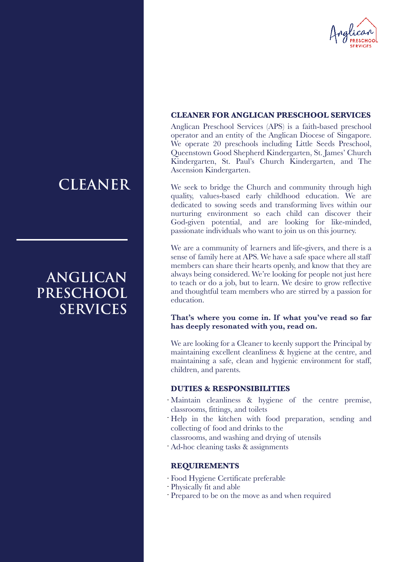

#### **CLEANER FOR ANGLICAN PRESCHOOL SERVICES**

Anglican Preschool Services (APS) is a faith-based preschool operator and an entity of the Anglican Diocese of Singapore. We operate 20 preschools including Little Seeds Preschool, Queenstown Good Shepherd Kindergarten, St. James' Church Kindergarten, St. Paul's Church Kindergarten, and The Ascension Kindergarten.

We seek to bridge the Church and community through high quality, values-based early childhood education. We are dedicated to sowing seeds and transforming lives within our nurturing environment so each child can discover their God-given potential, and are looking for like-minded, passionate individuals who want to join us on this journey.

We are a community of learners and life-givers, and there is a sense of family here at APS. We have a safe space where all staff members can share their hearts openly, and know that they are always being considered. We're looking for people not just here to teach or do a job, but to learn. We desire to grow reflective and thoughtful team members who are stirred by a passion for education.

#### **That's where you come in. If what you've read so far has deeply resonated with you, read on.**

We are looking for a Cleaner to keenly support the Principal by maintaining excellent cleanliness & hygiene at the centre, and maintaining a safe, clean and hygienic environment for staff, children, and parents.

#### **DUTIES & RESPONSIBILITIES**

- Maintain cleanliness & hygiene of the centre premise, classrooms, fittings, and toilets
- Help in the kitchen with food preparation, sending and collecting of food and drinks to the
- classrooms, and washing and drying of utensils
- Ad-hoc cleaning tasks & assignments -

#### **REQUIREMENTS**

- Food Hygiene Certificate preferable
- Physically fit and able
- Prepared to be on the move as and when required

## **CLEANER**

## **ANGLICAN PRESCHOOL SERVICES**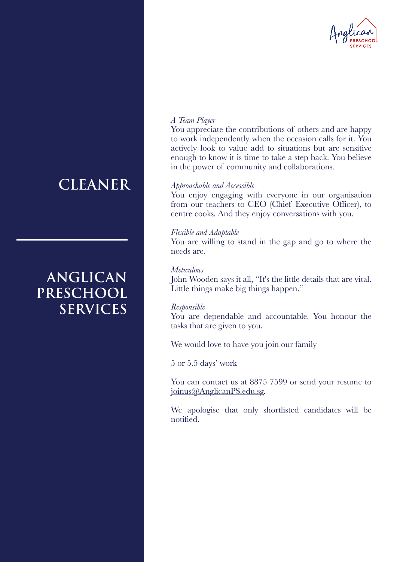

# **CLEANER**

## **ANGLICAN PRESCHOOL SERVICES**

#### *A Team Player*

You appreciate the contributions of others and are happy to work independently when the occasion calls for it. You actively look to value add to situations but are sensitive enough to know it is time to take a step back. You believe in the power of community and collaborations.

#### *Approachable and Accessible*

You enjoy engaging with everyone in our organisation from our teachers to CEO (Chief Executive Officer), to centre cooks. And they enjoy conversations with you.

#### *Flexible and Adaptable*

You are willing to stand in the gap and go to where the needs are.

#### *Meticulous*

John Wooden says it all, "It's the little details that are vital. Little things make big things happen."

#### *Responsible*

You are dependable and accountable. You honour the tasks that are given to you.

We would love to have you join our family

5 or 5.5 days' work

You can contact us at 8875 7599 or send your resume to joinus@AnglicanPS.edu.sg.

We apologise that only shortlisted candidates will be notified.